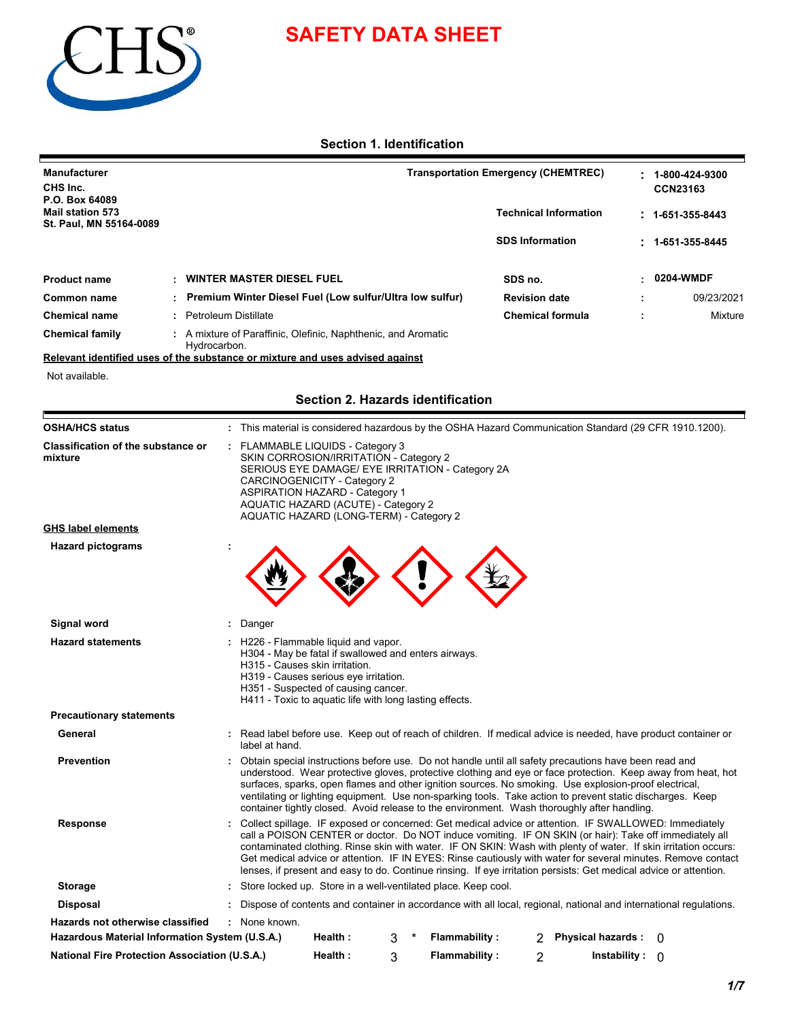

# **SAFETY DATA SHEET**

## **Section 1. Identification**

| <b>Manufacturer</b><br>CHS Inc.                                      |  |                                                                               | <b>Transportation Emergency (CHEMTREC)</b> |  |                          |
|----------------------------------------------------------------------|--|-------------------------------------------------------------------------------|--------------------------------------------|--|--------------------------|
| P.O. Box 64089<br><b>Mail station 573</b><br>St. Paul, MN 55164-0089 |  |                                                                               | <b>Technical Information</b>               |  | $: 1 - 651 - 355 - 8443$ |
|                                                                      |  |                                                                               | <b>SDS Information</b>                     |  | $: 1 - 651 - 355 - 8445$ |
| <b>Product name</b>                                                  |  | : WINTER MASTER DIESEL FUEL                                                   | SDS no.                                    |  | $-0204$ -WMDF            |
| Common name                                                          |  | : Premium Winter Diesel Fuel (Low sulfur/Ultra low sulfur)                    | <b>Revision date</b>                       |  | 09/23/2021               |
| <b>Chemical name</b>                                                 |  | : Petroleum Distillate                                                        | <b>Chemical formula</b>                    |  | Mixture                  |
| <b>Chemical family</b>                                               |  | : A mixture of Paraffinic, Olefinic, Naphthenic, and Aromatic<br>Hydrocarbon. |                                            |  |                          |

## **Section 2. Hazards identification**

| CHS Inc.<br>P.O. Box 64089                                                                |                                                                                                                                                                                                                                       |                                                                                                                                                                                                                                                                                                                                                                                                                                                                                                                                              | Transportation Emergency (CHEMTREC) |   | 1-800-424-9300<br><b>CCN23163</b> |
|-------------------------------------------------------------------------------------------|---------------------------------------------------------------------------------------------------------------------------------------------------------------------------------------------------------------------------------------|----------------------------------------------------------------------------------------------------------------------------------------------------------------------------------------------------------------------------------------------------------------------------------------------------------------------------------------------------------------------------------------------------------------------------------------------------------------------------------------------------------------------------------------------|-------------------------------------|---|-----------------------------------|
| <b>Mail station 573</b><br>St. Paul, MN 55164-0089                                        |                                                                                                                                                                                                                                       |                                                                                                                                                                                                                                                                                                                                                                                                                                                                                                                                              | <b>Technical Information</b>        |   | $: 1-651-355-8443$                |
|                                                                                           |                                                                                                                                                                                                                                       |                                                                                                                                                                                                                                                                                                                                                                                                                                                                                                                                              | <b>SDS Information</b>              |   | 1-651-355-8445                    |
| <b>Product name</b>                                                                       | <b>WINTER MASTER DIESEL FUEL</b>                                                                                                                                                                                                      |                                                                                                                                                                                                                                                                                                                                                                                                                                                                                                                                              | SDS no.                             |   | 0204-WMDF                         |
| <b>Common name</b>                                                                        | Premium Winter Diesel Fuel (Low sulfur/Ultra low sulfur)                                                                                                                                                                              |                                                                                                                                                                                                                                                                                                                                                                                                                                                                                                                                              | <b>Revision date</b>                |   | 09/23/2021                        |
| <b>Chemical name</b>                                                                      | <b>Petroleum Distillate</b>                                                                                                                                                                                                           |                                                                                                                                                                                                                                                                                                                                                                                                                                                                                                                                              | <b>Chemical formula</b>             | ÷ | Mixture                           |
| <b>Chemical family</b>                                                                    | : A mixture of Paraffinic, Olefinic, Naphthenic, and Aromatic<br>Hydrocarbon.                                                                                                                                                         |                                                                                                                                                                                                                                                                                                                                                                                                                                                                                                                                              |                                     |   |                                   |
|                                                                                           | Relevant identified uses of the substance or mixture and uses advised against                                                                                                                                                         |                                                                                                                                                                                                                                                                                                                                                                                                                                                                                                                                              |                                     |   |                                   |
| Not available.                                                                            |                                                                                                                                                                                                                                       |                                                                                                                                                                                                                                                                                                                                                                                                                                                                                                                                              |                                     |   |                                   |
|                                                                                           |                                                                                                                                                                                                                                       | Section 2. Hazards identification                                                                                                                                                                                                                                                                                                                                                                                                                                                                                                            |                                     |   |                                   |
| <b>OSHA/HCS status</b>                                                                    |                                                                                                                                                                                                                                       | : This material is considered hazardous by the OSHA Hazard Communication Standard (29 CFR 1910.1200).                                                                                                                                                                                                                                                                                                                                                                                                                                        |                                     |   |                                   |
| <b>Classification of the substance or</b><br>mixture                                      | : FLAMMABLE LIQUIDS - Category 3<br>SKIN CORROSION/IRRITATION - Category 2<br>CARCINOGENICITY - Category 2<br><b>ASPIRATION HAZARD - Category 1</b><br>AQUATIC HAZARD (ACUTE) - Category 2<br>AQUATIC HAZARD (LONG-TERM) - Category 2 | SERIOUS EYE DAMAGE/ EYE IRRITATION - Category 2A                                                                                                                                                                                                                                                                                                                                                                                                                                                                                             |                                     |   |                                   |
| <b>GHS label elements</b>                                                                 |                                                                                                                                                                                                                                       |                                                                                                                                                                                                                                                                                                                                                                                                                                                                                                                                              |                                     |   |                                   |
|                                                                                           |                                                                                                                                                                                                                                       |                                                                                                                                                                                                                                                                                                                                                                                                                                                                                                                                              |                                     |   |                                   |
| Signal word                                                                               | Danger                                                                                                                                                                                                                                |                                                                                                                                                                                                                                                                                                                                                                                                                                                                                                                                              |                                     |   |                                   |
| <b>Hazard statements</b>                                                                  | : H226 - Flammable liquid and vapor.<br>H315 - Causes skin irritation.<br>H319 - Causes serious eye irritation.<br>H351 - Suspected of causing cancer.                                                                                | H304 - May be fatal if swallowed and enters airways.<br>H411 - Toxic to aquatic life with long lasting effects.                                                                                                                                                                                                                                                                                                                                                                                                                              |                                     |   |                                   |
| <b>Precautionary statements</b>                                                           |                                                                                                                                                                                                                                       |                                                                                                                                                                                                                                                                                                                                                                                                                                                                                                                                              |                                     |   |                                   |
| General                                                                                   | label at hand.                                                                                                                                                                                                                        | Read label before use. Keep out of reach of children. If medical advice is needed, have product container or                                                                                                                                                                                                                                                                                                                                                                                                                                 |                                     |   |                                   |
| <b>Prevention</b>                                                                         |                                                                                                                                                                                                                                       | : Obtain special instructions before use. Do not handle until all safety precautions have been read and<br>understood. Wear protective gloves, protective clothing and eye or face protection. Keep away from heat, hot<br>surfaces, sparks, open flames and other ignition sources. No smoking. Use explosion-proof electrical,<br>ventilating or lighting equipment. Use non-sparking tools. Take action to prevent static discharges. Keep<br>container tightly closed. Avoid release to the environment. Wash thoroughly after handling. |                                     |   |                                   |
|                                                                                           |                                                                                                                                                                                                                                       | : Collect spillage. IF exposed or concerned: Get medical advice or attention. IF SWALLOWED: Immediately                                                                                                                                                                                                                                                                                                                                                                                                                                      |                                     |   |                                   |
| <b>Response</b>                                                                           |                                                                                                                                                                                                                                       | call a POISON CENTER or doctor. Do NOT induce vomiting. IF ON SKIN (or hair): Take off immediately all<br>contaminated clothing. Rinse skin with water. IF ON SKIN: Wash with plenty of water. If skin irritation occurs:<br>Get medical advice or attention. IF IN EYES: Rinse cautiously with water for several minutes. Remove contact<br>lenses, if present and easy to do. Continue rinsing. If eye irritation persists: Get medical advice or attention.                                                                               |                                     |   |                                   |
| <b>Storage</b>                                                                            |                                                                                                                                                                                                                                       | : Store locked up. Store in a well-ventilated place. Keep cool.                                                                                                                                                                                                                                                                                                                                                                                                                                                                              |                                     |   |                                   |
| <b>Disposal</b>                                                                           |                                                                                                                                                                                                                                       | Dispose of contents and container in accordance with all local, regional, national and international regulations.                                                                                                                                                                                                                                                                                                                                                                                                                            |                                     |   |                                   |
| <b>Hazards not otherwise classified</b><br>Hazardous Material Information System (U.S.A.) | : None known.<br>Health:                                                                                                                                                                                                              | <b>Flammability:</b><br>3                                                                                                                                                                                                                                                                                                                                                                                                                                                                                                                    | Physical hazards : 0                |   |                                   |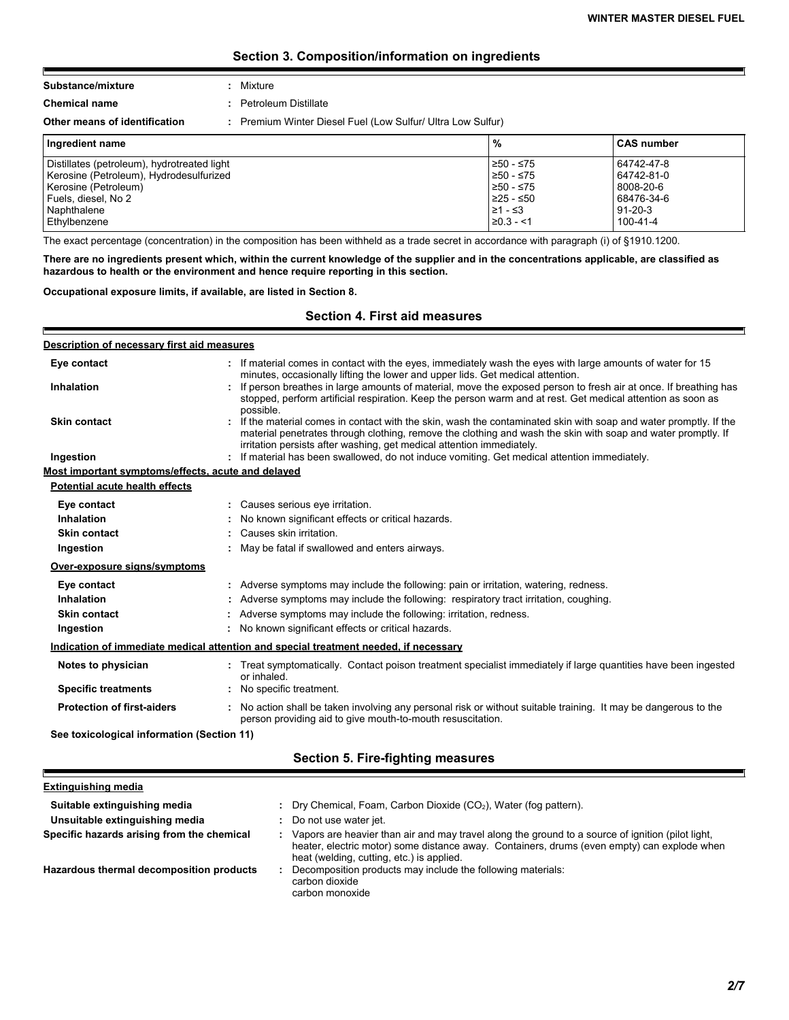## **Section 3. Composition/information on ingredients**

#### **Substance/mixture :** Mixture

**Chemical name :** Petroleum Distillate

F

Е

**Other means of identification :** Premium Winter Diesel Fuel (Low Sulfur/ Ultra Low Sulfur)

| Ingredient name                             | %           | <b>CAS number</b> |
|---------------------------------------------|-------------|-------------------|
| Distillates (petroleum), hydrotreated light | 250 - ≤75   | 64742-47-8        |
| Kerosine (Petroleum), Hydrodesulfurized     | ≥50 - ≤75   | 64742-81-0        |
| Kerosine (Petroleum)                        | $≥50 - ≤75$ | 8008-20-6         |
| Fuels, diesel, No 2                         | 225 - ≤50   | 68476-34-6        |
| Naphthalene                                 | l≥1 - ≤3    | $91 - 20 - 3$     |
| Ethylbenzene                                | $≥0.3 - 1$  | 100-41-4          |

The exact percentage (concentration) in the composition has been withheld as a trade secret in accordance with paragraph (i) of §1910.1200.

**There are no ingredients present which, within the current knowledge of the supplier and in the concentrations applicable, are classified as hazardous to health or the environment and hence require reporting in this section.**

#### **Occupational exposure limits, if available, are listed in Section 8.**

**Section 4. First aid measures**

| Description of necessary first aid measures        |                                                                                                                                                                                                                                                                                                          |
|----------------------------------------------------|----------------------------------------------------------------------------------------------------------------------------------------------------------------------------------------------------------------------------------------------------------------------------------------------------------|
| Eye contact                                        | If material comes in contact with the eyes, immediately wash the eyes with large amounts of water for 15<br>minutes, occasionally lifting the lower and upper lids. Get medical attention.                                                                                                               |
| Inhalation                                         | : If person breathes in large amounts of material, move the exposed person to fresh air at once. If breathing has<br>stopped, perform artificial respiration. Keep the person warm and at rest. Get medical attention as soon as<br>possible.                                                            |
| <b>Skin contact</b>                                | If the material comes in contact with the skin, wash the contaminated skin with soap and water promptly. If the<br>material penetrates through clothing, remove the clothing and wash the skin with soap and water promptly. If<br>irritation persists after washing, get medical attention immediately. |
| Ingestion                                          | If material has been swallowed, do not induce vomiting. Get medical attention immediately.                                                                                                                                                                                                               |
| Most important symptoms/effects, acute and delayed |                                                                                                                                                                                                                                                                                                          |
| Potential acute health effects                     |                                                                                                                                                                                                                                                                                                          |
| Eye contact                                        | : Causes serious eye irritation.                                                                                                                                                                                                                                                                         |
| Inhalation                                         | No known significant effects or critical hazards.                                                                                                                                                                                                                                                        |
| <b>Skin contact</b>                                | : Causes skin irritation.                                                                                                                                                                                                                                                                                |
| Ingestion                                          | : May be fatal if swallowed and enters airways.                                                                                                                                                                                                                                                          |
| Over-exposure signs/symptoms                       |                                                                                                                                                                                                                                                                                                          |
| Eye contact                                        | : Adverse symptoms may include the following: pain or irritation, watering, redness.                                                                                                                                                                                                                     |
| Inhalation                                         | Adverse symptoms may include the following: respiratory tract irritation, coughing.                                                                                                                                                                                                                      |
| <b>Skin contact</b>                                | : Adverse symptoms may include the following: irritation, redness.                                                                                                                                                                                                                                       |
| Ingestion                                          | : No known significant effects or critical hazards.                                                                                                                                                                                                                                                      |
|                                                    | Indication of immediate medical attention and special treatment needed, if necessary                                                                                                                                                                                                                     |
| Notes to physician                                 | : Treat symptomatically. Contact poison treatment specialist immediately if large quantities have been ingested<br>or inhaled.                                                                                                                                                                           |
| <b>Specific treatments</b>                         | : No specific treatment.                                                                                                                                                                                                                                                                                 |
| <b>Protection of first-aiders</b>                  | : No action shall be taken involving any personal risk or without suitable training. It may be dangerous to the<br>person providing aid to give mouth-to-mouth resuscitation.                                                                                                                            |
| See toxicological information (Section 11)         |                                                                                                                                                                                                                                                                                                          |
|                                                    | Section 5. Fire-fighting measures                                                                                                                                                                                                                                                                        |

#### **Extinguishing media**

F

| Suitable extinguishing media<br>Unsuitable extinguishing media | : Dry Chemical, Foam, Carbon Dioxide $(CO2)$ , Water (fog pattern).<br>Do not use water jet.                                                                                                                                                  |
|----------------------------------------------------------------|-----------------------------------------------------------------------------------------------------------------------------------------------------------------------------------------------------------------------------------------------|
| Specific hazards arising from the chemical                     | Vapors are heavier than air and may travel along the ground to a source of ignition (pilot light,<br>heater, electric motor) some distance away. Containers, drums (even empty) can explode when<br>heat (welding, cutting, etc.) is applied. |
| Hazardous thermal decomposition products                       | Decomposition products may include the following materials:<br>carbon dioxide<br>carbon monoxide                                                                                                                                              |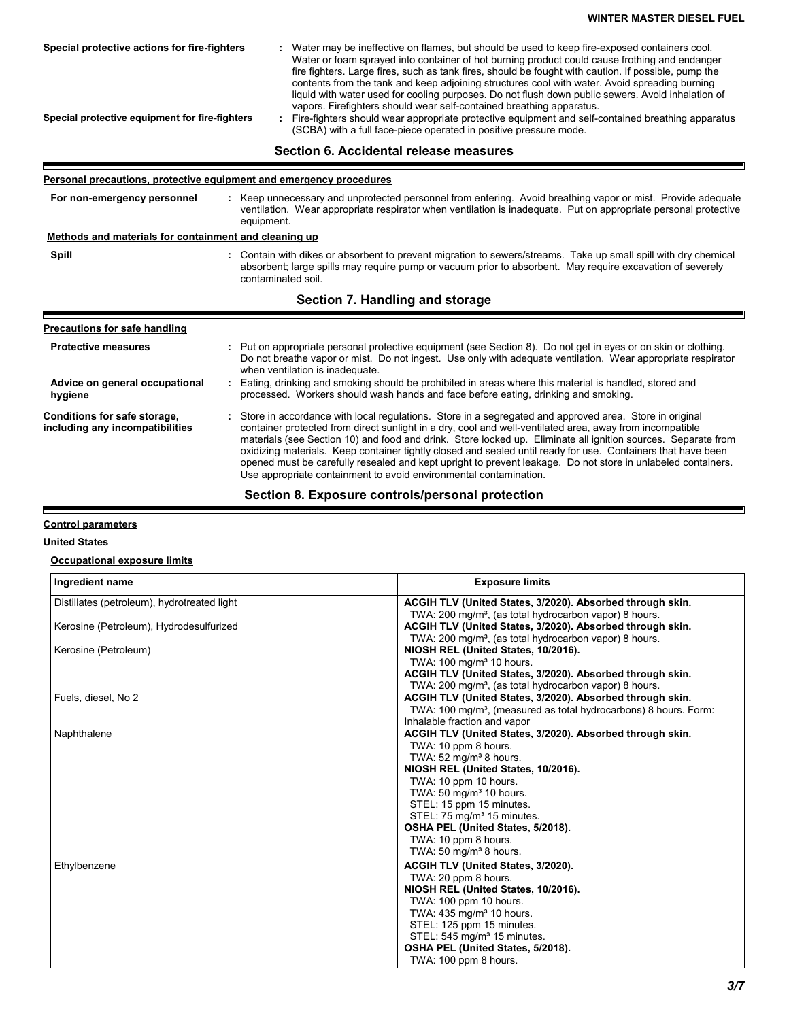| Special protective actions for fire-fighters<br>Special protective equipment for fire-fighters | Water may be ineffective on flames, but should be used to keep fire-exposed containers cool.<br>Water or foam sprayed into container of hot burning product could cause frothing and endanger<br>fire fighters. Large fires, such as tank fires, should be fought with caution. If possible, pump the<br>contents from the tank and keep adjoining structures cool with water. Avoid spreading burning<br>liquid with water used for cooling purposes. Do not flush down public sewers. Avoid inhalation of<br>vapors. Firefighters should wear self-contained breathing apparatus.<br>: Fire-fighters should wear appropriate protective equipment and self-contained breathing apparatus<br>(SCBA) with a full face-piece operated in positive pressure mode. |  |  |
|------------------------------------------------------------------------------------------------|-----------------------------------------------------------------------------------------------------------------------------------------------------------------------------------------------------------------------------------------------------------------------------------------------------------------------------------------------------------------------------------------------------------------------------------------------------------------------------------------------------------------------------------------------------------------------------------------------------------------------------------------------------------------------------------------------------------------------------------------------------------------|--|--|
|                                                                                                | Section 6. Accidental release measures                                                                                                                                                                                                                                                                                                                                                                                                                                                                                                                                                                                                                                                                                                                          |  |  |
| <b>Personal precautions, protective equipment and emergency procedures</b>                     |                                                                                                                                                                                                                                                                                                                                                                                                                                                                                                                                                                                                                                                                                                                                                                 |  |  |
| For non-emergency personnel                                                                    | : Keep unnecessary and unprotected personnel from entering. Avoid breathing vapor or mist. Provide adequate<br>ventilation. Wear appropriate respirator when ventilation is inadequate. Put on appropriate personal protective<br>equipment.                                                                                                                                                                                                                                                                                                                                                                                                                                                                                                                    |  |  |
| Methods and materials for containment and cleaning up                                          |                                                                                                                                                                                                                                                                                                                                                                                                                                                                                                                                                                                                                                                                                                                                                                 |  |  |
| Spill                                                                                          | : Contain with dikes or absorbent to prevent migration to sewers/streams. Take up small spill with dry chemical<br>absorbent; large spills may require pump or vacuum prior to absorbent. May require excavation of severely<br>contaminated soil.                                                                                                                                                                                                                                                                                                                                                                                                                                                                                                              |  |  |
|                                                                                                | Section 7. Handling and storage                                                                                                                                                                                                                                                                                                                                                                                                                                                                                                                                                                                                                                                                                                                                 |  |  |
| Precautions for safe handling                                                                  |                                                                                                                                                                                                                                                                                                                                                                                                                                                                                                                                                                                                                                                                                                                                                                 |  |  |

| Precautions for safe handling                                   |                                                                                                                                                                                                                                                                                                                                                                                                                                                                                                                                                                                                                                            |
|-----------------------------------------------------------------|--------------------------------------------------------------------------------------------------------------------------------------------------------------------------------------------------------------------------------------------------------------------------------------------------------------------------------------------------------------------------------------------------------------------------------------------------------------------------------------------------------------------------------------------------------------------------------------------------------------------------------------------|
| <b>Protective measures</b>                                      | : Put on appropriate personal protective equipment (see Section 8). Do not get in eyes or on skin or clothing.<br>Do not breathe vapor or mist. Do not ingest. Use only with adequate ventilation. Wear appropriate respirator<br>when ventilation is inadequate.                                                                                                                                                                                                                                                                                                                                                                          |
| Advice on general occupational<br>hygiene                       | : Eating, drinking and smoking should be prohibited in areas where this material is handled, stored and<br>processed. Workers should wash hands and face before eating, drinking and smoking.                                                                                                                                                                                                                                                                                                                                                                                                                                              |
| Conditions for safe storage,<br>including any incompatibilities | : Store in accordance with local regulations. Store in a segregated and approved area. Store in original<br>container protected from direct sunlight in a dry, cool and well-ventilated area, away from incompatible<br>materials (see Section 10) and food and drink. Store locked up. Eliminate all ignition sources. Separate from<br>oxidizing materials. Keep container tightly closed and sealed until ready for use. Containers that have been<br>opened must be carefully resealed and kept upright to prevent leakage. Do not store in unlabeled containers.<br>Use appropriate containment to avoid environmental contamination. |

## **Section 8. Exposure controls/personal protection**

## **Control parameters**

## **United States**

E

## **Occupational exposure limits**

| Ingredient name                             | <b>Exposure limits</b>                                                       |
|---------------------------------------------|------------------------------------------------------------------------------|
| Distillates (petroleum), hydrotreated light | ACGIH TLV (United States, 3/2020). Absorbed through skin.                    |
|                                             | TWA: 200 mg/m <sup>3</sup> , (as total hydrocarbon vapor) 8 hours.           |
| Kerosine (Petroleum), Hydrodesulfurized     | ACGIH TLV (United States, 3/2020). Absorbed through skin.                    |
|                                             | TWA: 200 mg/m <sup>3</sup> , (as total hydrocarbon vapor) 8 hours.           |
| Kerosine (Petroleum)                        | NIOSH REL (United States, 10/2016).                                          |
|                                             | TWA: 100 mg/m <sup>3</sup> 10 hours.                                         |
|                                             | ACGIH TLV (United States, 3/2020). Absorbed through skin.                    |
|                                             | TWA: 200 mg/m <sup>3</sup> , (as total hydrocarbon vapor) 8 hours.           |
| Fuels, diesel, No 2                         | ACGIH TLV (United States, 3/2020). Absorbed through skin.                    |
|                                             | TWA: 100 mg/m <sup>3</sup> , (measured as total hydrocarbons) 8 hours. Form: |
|                                             | Inhalable fraction and vapor                                                 |
| Naphthalene                                 | ACGIH TLV (United States, 3/2020). Absorbed through skin.                    |
|                                             | TWA: 10 ppm 8 hours.                                                         |
|                                             | TWA: $52 \text{ mg/m}^3$ 8 hours.                                            |
|                                             | NIOSH REL (United States, 10/2016).                                          |
|                                             | TWA: 10 ppm 10 hours.<br>TWA: 50 mg/m <sup>3</sup> 10 hours.                 |
|                                             | STEL: 15 ppm 15 minutes.                                                     |
|                                             | STEL: 75 mg/m <sup>3</sup> 15 minutes.                                       |
|                                             | OSHA PEL (United States, 5/2018).                                            |
|                                             | TWA: 10 ppm 8 hours.                                                         |
|                                             | TWA: 50 mg/m <sup>3</sup> 8 hours.                                           |
| Ethylbenzene                                | ACGIH TLV (United States, 3/2020).                                           |
|                                             | TWA: 20 ppm 8 hours.                                                         |
|                                             | NIOSH REL (United States, 10/2016).                                          |
|                                             | TWA: 100 ppm 10 hours.                                                       |
|                                             | TWA: 435 mg/m <sup>3</sup> 10 hours.                                         |
|                                             | STEL: 125 ppm 15 minutes.                                                    |
|                                             | STEL: 545 mg/m <sup>3</sup> 15 minutes.                                      |
|                                             | OSHA PEL (United States, 5/2018).                                            |
|                                             | TWA: 100 ppm 8 hours.                                                        |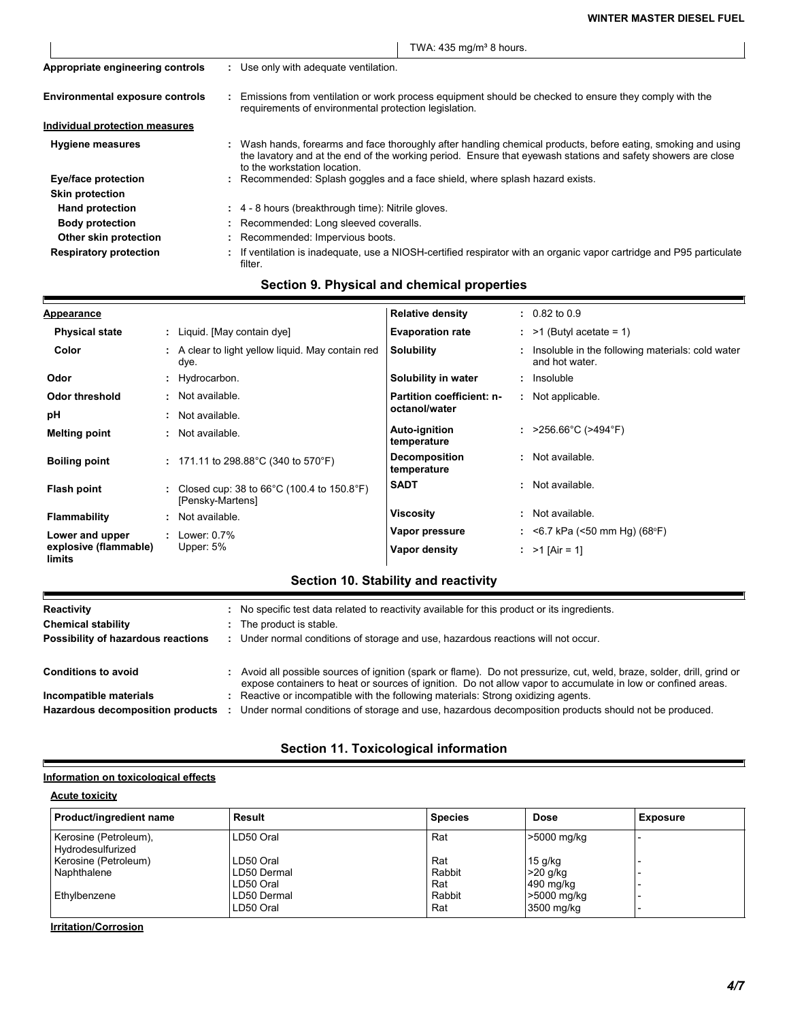|                                        | TWA: $435 \text{ mg/m}^3$ 8 hours.                                                                                                                                                                                                                            |  |
|----------------------------------------|---------------------------------------------------------------------------------------------------------------------------------------------------------------------------------------------------------------------------------------------------------------|--|
| Appropriate engineering controls       | : Use only with adequate ventilation.                                                                                                                                                                                                                         |  |
| <b>Environmental exposure controls</b> | Emissions from ventilation or work process equipment should be checked to ensure they comply with the<br>requirements of environmental protection legislation.                                                                                                |  |
| Individual protection measures         |                                                                                                                                                                                                                                                               |  |
| <b>Hygiene measures</b>                | : Wash hands, forearms and face thoroughly after handling chemical products, before eating, smoking and using<br>the lavatory and at the end of the working period. Ensure that eyewash stations and safety showers are close<br>to the workstation location. |  |
| Eye/face protection                    | : Recommended: Splash goggles and a face shield, where splash hazard exists.                                                                                                                                                                                  |  |
| <b>Skin protection</b>                 |                                                                                                                                                                                                                                                               |  |
| <b>Hand protection</b>                 | : 4 - 8 hours (breakthrough time): Nitrile gloves.                                                                                                                                                                                                            |  |
| <b>Body protection</b>                 | : Recommended: Long sleeved coveralls.                                                                                                                                                                                                                        |  |
| Other skin protection                  | : Recommended: Impervious boots.                                                                                                                                                                                                                              |  |
| <b>Respiratory protection</b>          | : If ventilation is inadequate, use a NIOSH-certified respirator with an organic vapor cartridge and P95 particulate<br>filter.                                                                                                                               |  |

# **Section 9. Physical and chemical properties**

| <b>Appearance</b>               | <b>Relative density</b>                                                                           | $: 0.82$ to $0.9$                                                    |
|---------------------------------|---------------------------------------------------------------------------------------------------|----------------------------------------------------------------------|
| <b>Physical state</b>           | : Liquid. [May contain dye]<br><b>Evaporation rate</b>                                            | $:$ >1 (Butyl acetate = 1)                                           |
| Color                           | A clear to light yellow liquid. May contain red<br>Solubility<br>dye.                             | : Insoluble in the following materials: cold water<br>and hot water. |
| Odor                            | Solubility in water<br>Hydrocarbon.                                                               | : Insoluble                                                          |
| <b>Odor threshold</b>           | · Not available.<br><b>Partition coefficient: n-</b>                                              | : Not applicable.                                                    |
| pH                              | octanol/water<br>Not available.                                                                   |                                                                      |
| <b>Melting point</b>            | <b>Auto-ignition</b><br>: Not available.<br>temperature                                           | : $>256.66^{\circ}$ C ( $>494^{\circ}$ F)                            |
| <b>Boiling point</b>            | <b>Decomposition</b><br>: 171.11 to 298.88 °C (340 to 570 °F)<br>temperature                      | : Not available.                                                     |
| Flash point                     | <b>SADT</b><br>Closed cup: 38 to $66^{\circ}$ C (100.4 to 150.8 $^{\circ}$ F)<br>[Pensky-Martens] | : Not available.                                                     |
| <b>Flammability</b>             | Viscosity<br>Not available.                                                                       | : Not available.                                                     |
| Lower and upper                 | Vapor pressure<br>Lower: 0.7%                                                                     | : <6.7 kPa (<50 mm Hg) (68°F)                                        |
| explosive (flammable)<br>limits | Upper: $5%$<br>Vapor density                                                                      | : $>1$ [Air = 1]                                                     |

## **Section 10. Stability and reactivity**

| Reactivity                              | : No specific test data related to reactivity available for this product or its ingredients.                                                                                                                                            |
|-----------------------------------------|-----------------------------------------------------------------------------------------------------------------------------------------------------------------------------------------------------------------------------------------|
| <b>Chemical stability</b>               | : The product is stable.                                                                                                                                                                                                                |
| Possibility of hazardous reactions      | : Under normal conditions of storage and use, hazardous reactions will not occur.                                                                                                                                                       |
| <b>Conditions to avoid</b>              | : Avoid all possible sources of ignition (spark or flame). Do not pressurize, cut, weld, braze, solder, drill, grind or<br>expose containers to heat or sources of ignition. Do not allow vapor to accumulate in low or confined areas. |
| Incompatible materials                  | : Reactive or incompatible with the following materials: Strong oxidizing agents.                                                                                                                                                       |
| <b>Hazardous decomposition products</b> | Under normal conditions of storage and use, hazardous decomposition products should not be produced.                                                                                                                                    |
|                                         |                                                                                                                                                                                                                                         |

# **Section 11. Toxicological information**

## **Information on toxicological effects**

## **Acute toxicity**

 $\blacksquare$ 

| Product/ingredient name                    | Result                   | <b>Species</b> | <b>Dose</b>               | <b>Exposure</b> |
|--------------------------------------------|--------------------------|----------------|---------------------------|-----------------|
| Kerosine (Petroleum),<br>Hydrodesulfurized | LD50 Oral                | Rat            | >5000 mg/kg               |                 |
| Kerosine (Petroleum)                       | LD50 Oral                | Rat            | $15$ g/kg                 |                 |
| Naphthalene                                | LD50 Dermal<br>LD50 Oral | Rabbit<br>Rat  | $>20$ g/kg<br>490 mg/kg   |                 |
| Ethylbenzene                               | LD50 Dermal<br>LD50 Oral | Rabbit<br>Rat  | >5000 mg/kg<br>3500 mg/kg |                 |

**Irritation/Corrosion**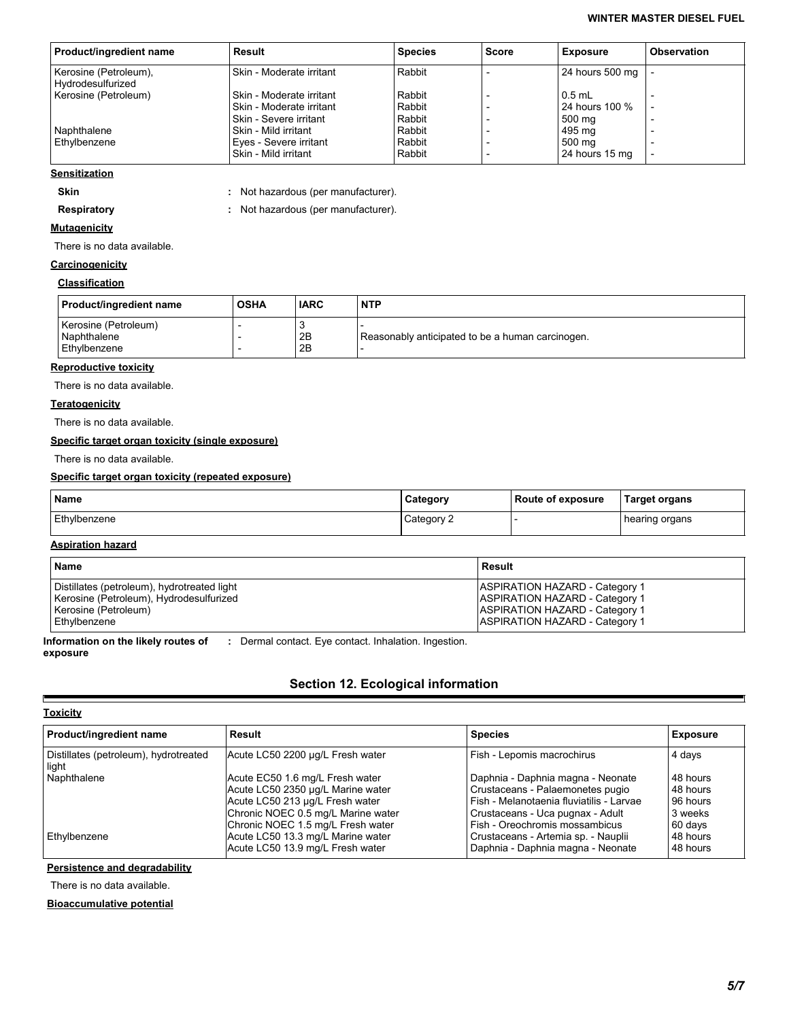| Product/ingredient name                    | Result                                             | <b>Species</b>   | Score | <b>Exposure</b>          | <b>Observation</b> |
|--------------------------------------------|----------------------------------------------------|------------------|-------|--------------------------|--------------------|
| Kerosine (Petroleum),<br>Hydrodesulfurized | Skin - Moderate irritant                           | Rabbit           |       | 24 hours 500 mg          |                    |
| Kerosine (Petroleum)                       | Skin - Moderate irritant                           | Rabbit           |       | $0.5$ mL                 |                    |
|                                            | Skin - Moderate irritant<br>Skin - Severe irritant | Rabbit<br>Rabbit |       | 24 hours 100 %<br>500 mg |                    |
| Naphthalene                                | Skin - Mild irritant                               | Rabbit           |       | 495 ma                   |                    |
| Ethylbenzene                               | Eyes - Severe irritant<br>Skin - Mild irritant     | Rabbit<br>Rabbit |       | 500 ma<br>24 hours 15 mg |                    |
|                                            |                                                    |                  |       |                          |                    |

#### **Sensitization**

**Skin :** Not hazardous (per manufacturer). **Respiratory :** Not hazardous (per manufacturer). Not hazardous (per manufacturer).

## **Mutagenicity**

There is no data available.

## **Carcinogenicity**

#### **Classification**

| Product/ingredient name                             | <b>OSHA</b> | <b>IARC</b> | <b>NTP</b>                                       |
|-----------------------------------------------------|-------------|-------------|--------------------------------------------------|
| Kerosine (Petroleum)<br>Naphthalene<br>Ethylbenzene |             | 2B<br>2B    | Reasonably anticipated to be a human carcinogen. |

#### **Reproductive toxicity**

There is no data available.

#### **Teratogenicity**

There is no data available.

## **Specific target organ toxicity (single exposure)**

There is no data available.

#### **Specific target organ toxicity (repeated exposure)**

| <b>Name</b>  | Category | Route of exposure | <b>Target organs</b> |
|--------------|----------|-------------------|----------------------|
| Ethylbenzene | Category |                   | hearing organs       |

## **Aspiration hazard**

| <b>Name</b>                                 | Result                                |
|---------------------------------------------|---------------------------------------|
| Distillates (petroleum), hydrotreated light | <b>ASPIRATION HAZARD - Category 1</b> |
| Kerosine (Petroleum), Hydrodesulfurized     | <b>ASPIRATION HAZARD - Category 1</b> |
| Kerosine (Petroleum)                        | <b>ASPIRATION HAZARD - Category 1</b> |
| l Ethvlbenzene                              | <b>ASPIRATION HAZARD - Category 1</b> |

**Information on the likely routes of exposure**

**:** Dermal contact. Eye contact. Inhalation. Ingestion.

## **Section 12. Ecological information**

#### **Toxicity**

 $\blacksquare$ 

| Product/ingredient name                        | Result                             | <b>Species</b>                             | <b>Exposure</b> |
|------------------------------------------------|------------------------------------|--------------------------------------------|-----------------|
| Distillates (petroleum), hydrotreated<br>light | Acute LC50 2200 µg/L Fresh water   | Fish - Lepomis macrochirus                 | 4 days          |
| Naphthalene                                    | Acute EC50 1.6 mg/L Fresh water    | Daphnia - Daphnia magna - Neonate          | 48 hours        |
|                                                | Acute LC50 2350 µg/L Marine water  | Crustaceans - Palaemonetes pugio           | 48 hours        |
|                                                | Acute LC50 213 µg/L Fresh water    | l Fish - Melanotaenia fluviatilis - Larvae | 96 hours        |
|                                                | Chronic NOEC 0.5 mg/L Marine water | Crustaceans - Uca pugnax - Adult           | 3 weeks         |
|                                                | Chronic NOEC 1.5 mg/L Fresh water  | Fish - Oreochromis mossambicus             | 60 days         |
| Ethylbenzene                                   | Acute LC50 13.3 mg/L Marine water  | Crustaceans - Artemia sp. - Nauplii        | 48 hours        |
|                                                | Acute LC50 13.9 mg/L Fresh water   | Daphnia - Daphnia magna - Neonate          | 48 hours        |

**Persistence and degradability**

There is no data available.

**Bioaccumulative potential**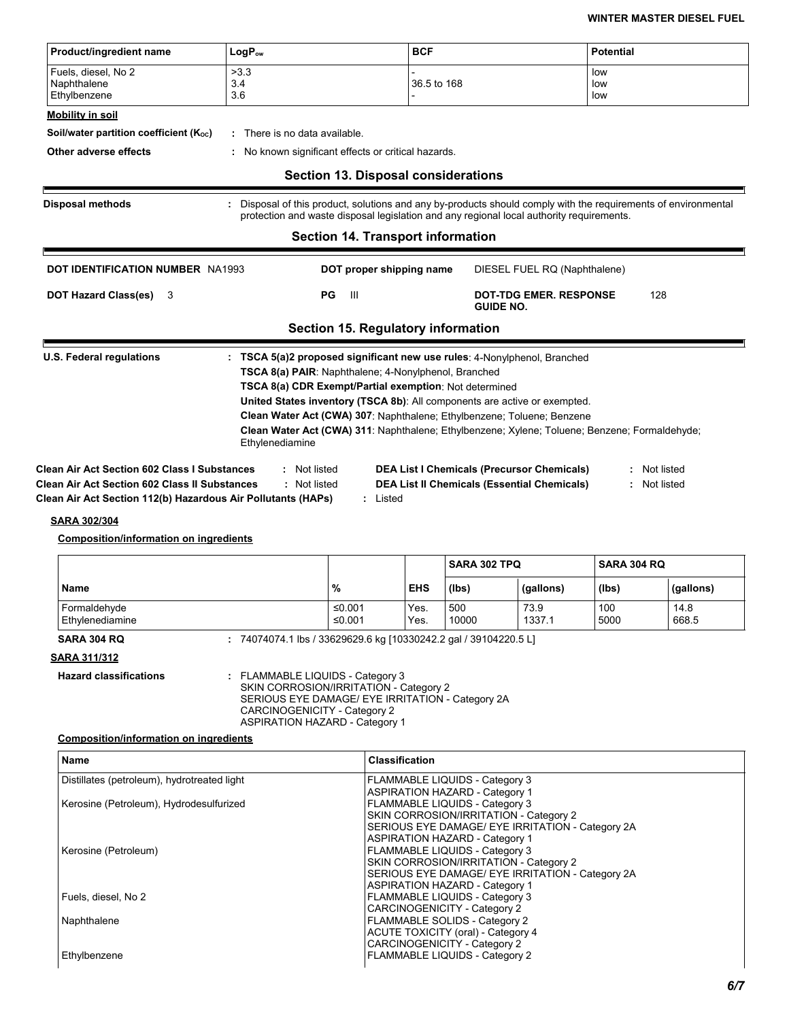| Product/ingredient name                                      | LogP <sub>ow</sub>                                                                                                                       | <b>BCF</b>                                                                                                                                                                                                                                                                                                                     | <b>Potential</b>  |
|--------------------------------------------------------------|------------------------------------------------------------------------------------------------------------------------------------------|--------------------------------------------------------------------------------------------------------------------------------------------------------------------------------------------------------------------------------------------------------------------------------------------------------------------------------|-------------------|
| Fuels, diesel, No 2<br>Naphthalene<br>Ethylbenzene           | >3.3<br>3.4<br>3.6                                                                                                                       | 36.5 to 168                                                                                                                                                                                                                                                                                                                    | low<br>low<br>low |
| Mobility in soil                                             |                                                                                                                                          |                                                                                                                                                                                                                                                                                                                                |                   |
| Soil/water partition coefficient (Koc)                       | There is no data available.                                                                                                              |                                                                                                                                                                                                                                                                                                                                |                   |
| Other adverse effects                                        | : No known significant effects or critical hazards.                                                                                      |                                                                                                                                                                                                                                                                                                                                |                   |
|                                                              | <b>Section 13. Disposal considerations</b>                                                                                               |                                                                                                                                                                                                                                                                                                                                |                   |
| <b>Disposal methods</b>                                      |                                                                                                                                          | Disposal of this product, solutions and any by-products should comply with the requirements of environmental<br>protection and waste disposal legislation and any regional local authority requirements.                                                                                                                       |                   |
|                                                              | <b>Section 14. Transport information</b>                                                                                                 |                                                                                                                                                                                                                                                                                                                                |                   |
| <b>DOT IDENTIFICATION NUMBER NA1993</b>                      | DOT proper shipping name                                                                                                                 | DIESEL FUEL RQ (Naphthalene)                                                                                                                                                                                                                                                                                                   |                   |
| <b>DOT Hazard Class(es)</b><br>3                             | PG<br>- III                                                                                                                              | <b>DOT-TDG EMER, RESPONSE</b><br><b>GUIDE NO.</b>                                                                                                                                                                                                                                                                              | 128               |
|                                                              | <b>Section 15. Regulatory information</b>                                                                                                |                                                                                                                                                                                                                                                                                                                                |                   |
| <b>U.S. Federal regulations</b>                              | <b>TSCA 8(a) PAIR:</b> Naphthalene: 4-Nonylphenol, Branched<br>TSCA 8(a) CDR Exempt/Partial exemption: Not determined<br>Ethylenediamine | TSCA 5(a)2 proposed significant new use rules: 4-Nonylphenol, Branched<br>United States inventory (TSCA 8b): All components are active or exempted.<br>Clean Water Act (CWA) 307: Naphthalene; Ethylbenzene; Toluene; Benzene<br>Clean Water Act (CWA) 311: Naphthalene; Ethylbenzene; Xylene; Toluene; Benzene; Formaldehyde; |                   |
| Clean Air Act Section 602 Class I Substances                 | : Not listed                                                                                                                             | <b>DEA List I Chemicals (Precursor Chemicals)</b>                                                                                                                                                                                                                                                                              | : Not listed      |
| <b>Clean Air Act Section 602 Class II Substances</b>         | : Not listed                                                                                                                             | <b>DEA List II Chemicals (Essential Chemicals)</b>                                                                                                                                                                                                                                                                             | : Not listed      |
| Clean Air Act Section 112(b) Hazardous Air Pollutants (HAPs) | : Listed                                                                                                                                 |                                                                                                                                                                                                                                                                                                                                |                   |

#### **SARA 302/304**

### **Composition/information on ingredients**

|                                 |                  |              | <b>SARA 302 TPQ</b> |                | I SARA 304 RQ |               |
|---------------------------------|------------------|--------------|---------------------|----------------|---------------|---------------|
| <b>Name</b>                     | $\%$             | <b>EHS</b>   | (lbs)               | (gallons)      | (Ibs)         | (gallons)     |
| Formaldehyde<br>Ethylenediamine | ≤0.001<br>≤0.001 | Yes.<br>Yes. | 500<br>10000        | 73.9<br>1337.1 | 100<br>5000   | 14.8<br>668.5 |

**SARA 304 RQ :** 74074074.1 lbs / 33629629.6 kg [10330242.2 gal / 39104220.5 L]

**SARA 311/312**

**Hazard classifications :** FLAMMABLE LIQUIDS - Category 3 SKIN CORROSION/IRRITATION - Category 2 SERIOUS EYE DAMAGE/ EYE IRRITATION - Category 2A CARCINOGENICITY - Category 2 ASPIRATION HAZARD - Category 1

#### **Composition/information on ingredients**

| <b>Name</b>                                 | <b>Classification</b>                            |
|---------------------------------------------|--------------------------------------------------|
| Distillates (petroleum), hydrotreated light | FLAMMABLE LIQUIDS - Category 3                   |
|                                             | <b>ASPIRATION HAZARD - Category 1</b>            |
| Kerosine (Petroleum), Hydrodesulfurized     | <b>FLAMMABLE LIQUIDS - Category 3</b>            |
|                                             | SKIN CORROSION/IRRITATION - Category 2           |
|                                             | SERIOUS EYE DAMAGE/ EYE IRRITATION - Category 2A |
|                                             | <b>ASPIRATION HAZARD - Category 1</b>            |
| Kerosine (Petroleum)                        | FLAMMABLE LIQUIDS - Category 3                   |
|                                             | SKIN CORROSION/IRRITATION - Category 2           |
|                                             | SERIOUS EYE DAMAGE/ EYE IRRITATION - Category 2A |
|                                             | <b>ASPIRATION HAZARD - Category 1</b>            |
| Fuels, diesel, No 2                         | FLAMMABLE LIQUIDS - Category 3                   |
|                                             | <b>CARCINOGENICITY - Category 2</b>              |
| Naphthalene                                 | FLAMMABLE SOLIDS - Category 2                    |
|                                             | <b>ACUTE TOXICITY (oral) - Category 4</b>        |
|                                             | <b>CARCINOGENICITY - Category 2</b>              |
| Ethylbenzene                                | FLAMMABLE LIQUIDS - Category 2                   |
|                                             |                                                  |